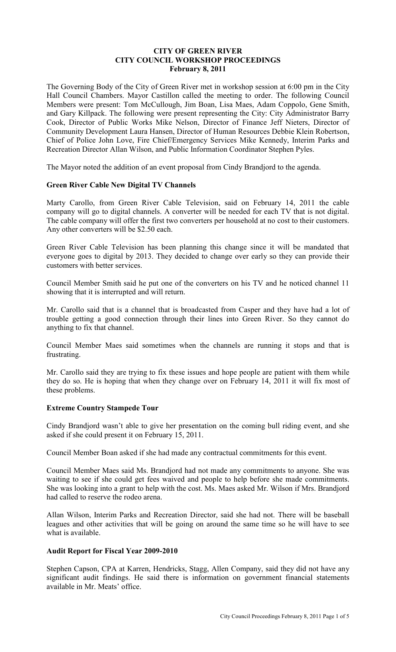## **CITY OF GREEN RIVER CITY COUNCIL WORKSHOP PROCEEDINGS February 8, 2011**

The Governing Body of the City of Green River met in workshop session at 6:00 pm in the City Hall Council Chambers. Mayor Castillon called the meeting to order. The following Council Members were present: Tom McCullough, Jim Boan, Lisa Maes, Adam Coppolo, Gene Smith, and Gary Killpack. The following were present representing the City: City Administrator Barry Cook, Director of Public Works Mike Nelson, Director of Finance Jeff Nieters, Director of Community Development Laura Hansen, Director of Human Resources Debbie Klein Robertson, Chief of Police John Love, Fire Chief/Emergency Services Mike Kennedy, Interim Parks and Recreation Director Allan Wilson, and Public Information Coordinator Stephen Pyles.

The Mayor noted the addition of an event proposal from Cindy Brandjord to the agenda.

## **Green River Cable New Digital TV Channels**

Marty Carollo, from Green River Cable Television, said on February 14, 2011 the cable company will go to digital channels. A converter will be needed for each TV that is not digital. The cable company will offer the first two converters per household at no cost to their customers. Any other converters will be \$2.50 each.

Green River Cable Television has been planning this change since it will be mandated that everyone goes to digital by 2013. They decided to change over early so they can provide their customers with better services.

Council Member Smith said he put one of the converters on his TV and he noticed channel 11 showing that it is interrupted and will return.

Mr. Carollo said that is a channel that is broadcasted from Casper and they have had a lot of trouble getting a good connection through their lines into Green River. So they cannot do anything to fix that channel.

Council Member Maes said sometimes when the channels are running it stops and that is frustrating.

Mr. Carollo said they are trying to fix these issues and hope people are patient with them while they do so. He is hoping that when they change over on February 14, 2011 it will fix most of these problems.

#### **Extreme Country Stampede Tour**

Cindy Brandjord wasn't able to give her presentation on the coming bull riding event, and she asked if she could present it on February 15, 2011.

Council Member Boan asked if she had made any contractual commitments for this event.

Council Member Maes said Ms. Brandjord had not made any commitments to anyone. She was waiting to see if she could get fees waived and people to help before she made commitments. She was looking into a grant to help with the cost. Ms. Maes asked Mr. Wilson if Mrs. Brandjord had called to reserve the rodeo arena.

Allan Wilson, Interim Parks and Recreation Director, said she had not. There will be baseball leagues and other activities that will be going on around the same time so he will have to see what is available.

#### **Audit Report for Fiscal Year 2009-2010**

Stephen Capson, CPA at Karren, Hendricks, Stagg, Allen Company, said they did not have any significant audit findings. He said there is information on government financial statements available in Mr. Meats' office.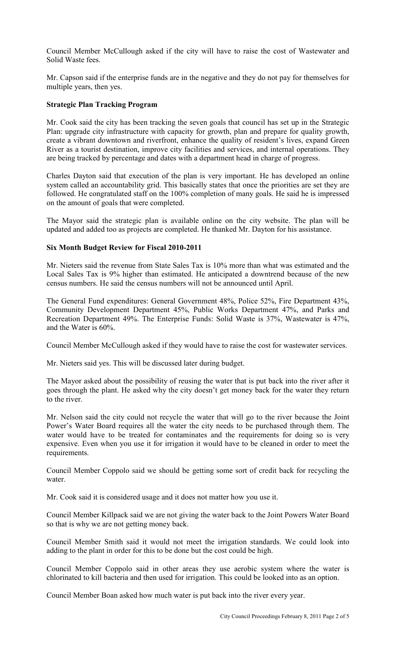Council Member McCullough asked if the city will have to raise the cost of Wastewater and Solid Waste fees.

Mr. Capson said if the enterprise funds are in the negative and they do not pay for themselves for multiple years, then yes.

## **Strategic Plan Tracking Program**

Mr. Cook said the city has been tracking the seven goals that council has set up in the Strategic Plan: upgrade city infrastructure with capacity for growth, plan and prepare for quality growth, create a vibrant downtown and riverfront, enhance the quality of resident's lives, expand Green River as a tourist destination, improve city facilities and services, and internal operations. They are being tracked by percentage and dates with a department head in charge of progress.

Charles Dayton said that execution of the plan is very important. He has developed an online system called an accountability grid. This basically states that once the priorities are set they are followed. He congratulated staff on the 100% completion of many goals. He said he is impressed on the amount of goals that were completed.

The Mayor said the strategic plan is available online on the city website. The plan will be updated and added too as projects are completed. He thanked Mr. Dayton for his assistance.

## **Six Month Budget Review for Fiscal 2010-2011**

Mr. Nieters said the revenue from State Sales Tax is 10% more than what was estimated and the Local Sales Tax is 9% higher than estimated. He anticipated a downtrend because of the new census numbers. He said the census numbers will not be announced until April.

The General Fund expenditures: General Government 48%, Police 52%, Fire Department 43%, Community Development Department 45%, Public Works Department 47%, and Parks and Recreation Department 49%. The Enterprise Funds: Solid Waste is 37%, Wastewater is 47%, and the Water is 60%.

Council Member McCullough asked if they would have to raise the cost for wastewater services.

Mr. Nieters said yes. This will be discussed later during budget.

The Mayor asked about the possibility of reusing the water that is put back into the river after it goes through the plant. He asked why the city doesn't get money back for the water they return to the river.

Mr. Nelson said the city could not recycle the water that will go to the river because the Joint Power's Water Board requires all the water the city needs to be purchased through them. The water would have to be treated for contaminates and the requirements for doing so is very expensive. Even when you use it for irrigation it would have to be cleaned in order to meet the requirements.

Council Member Coppolo said we should be getting some sort of credit back for recycling the water.

Mr. Cook said it is considered usage and it does not matter how you use it.

Council Member Killpack said we are not giving the water back to the Joint Powers Water Board so that is why we are not getting money back.

Council Member Smith said it would not meet the irrigation standards. We could look into adding to the plant in order for this to be done but the cost could be high.

Council Member Coppolo said in other areas they use aerobic system where the water is chlorinated to kill bacteria and then used for irrigation. This could be looked into as an option.

Council Member Boan asked how much water is put back into the river every year.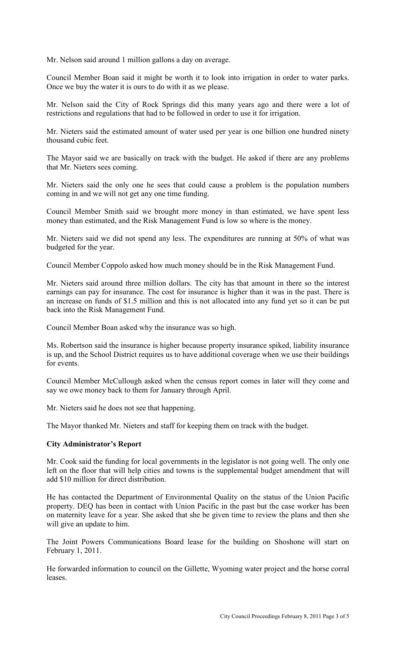Mr. Nelson said around 1 million gallons a day on average.

Council Member Boan said it might be worth it to look into irrigation in order to water parks. Once we buy the water it is ours to do with it as we please.

Mr. Nelson said the City of Rock Springs did this many years ago and there were a lot of restrictions and regulations that had to be followed in order to use it for irrigation.

Mr. Nieters said the estimated amount of water used per year is one billion one hundred ninety thousand cubic feet.

The Mayor said we are basically on track with the budget. He asked if there are any problems that Mr. Nieters sees coming.

Mr. Nieters said the only one he sees that could cause a problem is the population numbers coming in and we will not get any one time funding.

Council Member Smith said we brought more money in than estimated, we have spent less money than estimated, and the Risk Management Fund is low so where is the money.

Mr. Nieters said we did not spend any less. The expenditures are running at 50% of what was budgeted for the year.

Council Member Coppolo asked how much money should be in the Risk Management Fund.

Mr. Nieters said around three million dollars. The city has that amount in there so the interest earnings can pay for insurance. The cost for insurance is higher than it was in the past. There is an increase on funds of \$1.5 million and this is not allocated into any fund yet so it can be put back into the Risk Management Fund.

Council Member Boan asked why the insurance was so high.

Ms. Robertson said the insurance is higher because property insurance spiked, liability insurance is up, and the School District requires us to have additional coverage when we use their buildings for events.

Council Member McCullough asked when the census report comes in later will they come and say we owe money back to them for January through April.

Mr. Nieters said he does not see that happening.

The Mayor thanked Mr. Nieters and staff for keeping them on track with the budget.

## **City Administrator's Report**

Mr. Cook said the funding for local governments in the legislator is not going well. The only one left on the floor that will help cities and towns is the supplemental budget amendment that will add \$10 million for direct distribution.

He has contacted the Department of Environmental Quality on the status of the Union Pacific property. DEQ has been in contact with Union Pacific in the past but the case worker has been on maternity leave for a year. She asked that she be given time to review the plans and then she will give an update to him.

The Joint Powers Communications Board lease for the building on Shoshone will start on February 1, 2011.

He forwarded information to council on the Gillette, Wyoming water project and the horse corral leases.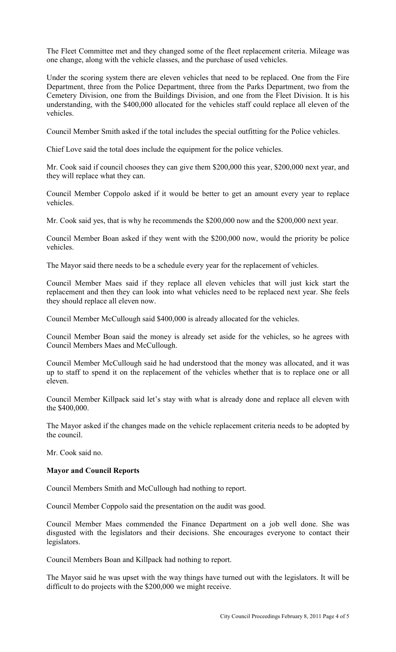The Fleet Committee met and they changed some of the fleet replacement criteria. Mileage was one change, along with the vehicle classes, and the purchase of used vehicles.

Under the scoring system there are eleven vehicles that need to be replaced. One from the Fire Department, three from the Police Department, three from the Parks Department, two from the Cemetery Division, one from the Buildings Division, and one from the Fleet Division. It is his understanding, with the \$400,000 allocated for the vehicles staff could replace all eleven of the vehicles.

Council Member Smith asked if the total includes the special outfitting for the Police vehicles.

Chief Love said the total does include the equipment for the police vehicles.

Mr. Cook said if council chooses they can give them \$200,000 this year, \$200,000 next year, and they will replace what they can.

Council Member Coppolo asked if it would be better to get an amount every year to replace vehicles.

Mr. Cook said yes, that is why he recommends the \$200,000 now and the \$200,000 next year.

Council Member Boan asked if they went with the \$200,000 now, would the priority be police vehicles.

The Mayor said there needs to be a schedule every year for the replacement of vehicles.

Council Member Maes said if they replace all eleven vehicles that will just kick start the replacement and then they can look into what vehicles need to be replaced next year. She feels they should replace all eleven now.

Council Member McCullough said \$400,000 is already allocated for the vehicles.

Council Member Boan said the money is already set aside for the vehicles, so he agrees with Council Members Maes and McCullough.

Council Member McCullough said he had understood that the money was allocated, and it was up to staff to spend it on the replacement of the vehicles whether that is to replace one or all eleven.

Council Member Killpack said let's stay with what is already done and replace all eleven with the \$400,000.

The Mayor asked if the changes made on the vehicle replacement criteria needs to be adopted by the council.

Mr. Cook said no.

#### **Mayor and Council Reports**

Council Members Smith and McCullough had nothing to report.

Council Member Coppolo said the presentation on the audit was good.

Council Member Maes commended the Finance Department on a job well done. She was disgusted with the legislators and their decisions. She encourages everyone to contact their legislators.

Council Members Boan and Killpack had nothing to report.

The Mayor said he was upset with the way things have turned out with the legislators. It will be difficult to do projects with the \$200,000 we might receive.